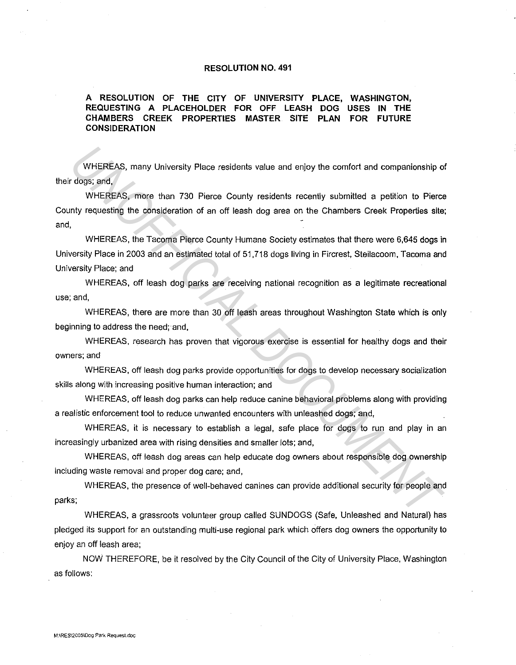## **RESOLUTION NO. 491**

**A RESOLUTION OF THE CITY OF UNIVERSITY PLACE, WASHINGTON, REQUESTING A PLACEHOLDER FOR OFF LEASH DOG USES IN THE CHAMBERS CREEK PROPERTIES MASTER SITE PLAN FOR FUTURE CONSIDERATION** 

WHEREAS, many University Place residents value and enjoy the comfort and companionship of their dogs; and,

WHEREAS, more than 730 Pierce County residents recently submitted a petition to Pierce County requesting the consideration of an off leash dog area on the Chambers Creek Properties site; and,

WHEREAS, the Tacoma Pierce County Humane Society estimates that there were 6,645 dogs in University Place in 2003 and an estimated total of 51,718 dogs living in Fircrest, Steilacoom, Tacoma and University Place; and WHEREAS, many University Place residents value and enjoy the comfort and companionship or regist and<br> *WHEREAS, more* than 730 Pierce County residents recently submitted a petition to Pierce<br>
mory requesting the considerat

WHEREAS, off leash dog parks are receiving national recognition as a legitimate recreational use; and,

WHEREAS, there are more than 30 off leash areas throughout Washington State which is only beginning to address the need; and,

WHEREAS, research has proven that vigorous exercise is essential for healthy dogs and their owners; and

WHEREAS, off leash dog parks provide opportunities for dogs to develop necessary socialization skills along with increasing positive human interaction; and

WHEREAS, off leash dog parks can help reduce canine behavioral problems along with providing a realistic enforcement tool to reduce unwanted encounters with unleashed dogs; and,

WHEREAS, it is necessary to establish a legal, safe place for dogs to run and play in an increasingly urbanized area with rising densities and smaller lots; and,

WHEREAS, off leash dog areas can help educate dog owners about responsible dog ownership including waste removal and proper dog care; and,

WHEREAS, the presence of well-behaved canines can provide additional security for people and parks;

WHEREAS, a grassroots volunteer group called SUNDOGS (Safe, Unleashed and Natural) has pledged its support for an outstanding multi-use regional park which offers dog owners the opportunity to enjoy an off leash area;

NOW THEREFORE, be it resolved by the City Council of the City of University Place, Washington as follows: